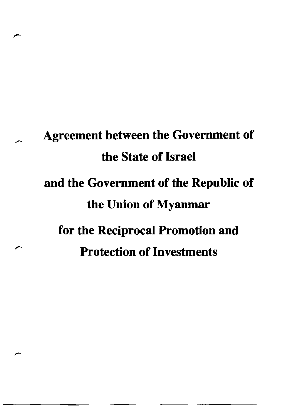# Agreement between the Government of the State of Israel and the Government of the Republic of the Union of Myanmar for the Reciprocal Promotion and Protection of Investments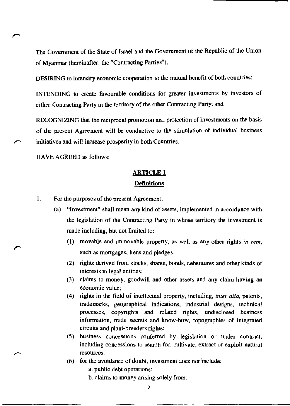The Government of the State of Israel and the Government of the Republic of the Union of Myanmar (hereinafter: the "Contracting Parties"),

**DESIRING to intensify economic cooperation to the mutual benefit of both countries;** 

**INTENDING to create favourable conditions for greater investments by investors of**  ei ther Contracting Party in the territory of the other Contracting Party: and

RECOGNIZING that the reciprocal promotion and protection of investments on the basis **of the present Agreement will be conductive to the stimulation of individual business initiatives and will increase prosperity in both Countries,** 

HAVE AGREED as follows:

*r* 

## **ARTICLE 1 Definitions**

- I. For the purposes of the present Agreement:
	- **(a) "Investment" shall mean any kind of assets, implemented in accordance with the legislation of the Contracting Party in whose territory the investment is**  made including, but not limited to:
		- (I) movable and immovable property, as well as any other rights *in rem,*  such as mortgages, liens and pledges;
		- (2) rights derived from stocks, shares, bonds, debentures and other kinds of **interests in legal entities;**
		- (3) claims to money, goodwill and other assets and any claim having an **economic value;**
		- (4) rights in the field of intellectual property, including, *inter alia,* patents, **trademarks, geographical indications, industrial designs, technical processes, copyrights and related rights, undisclosed business information, trade secrets and know-how, topographies of integrated circuits and plant-breeders rights;**
		- **(5) business concessions conferred by legislation or under contract, including concessions to search for, cultivate, extract or exploit natural resources.**
		- (6) for the avoidance of doubt, investment does not include:

a. public debt operations;

**b. claims to money arising solely from:**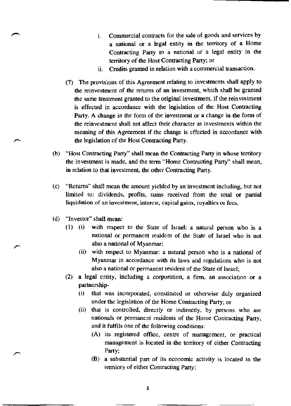- **1. Commercial contracts for the sale of goods and services by**  a national or a legal entity in the territory of a Home Contracting Party to a national or a legal entity in the territory of the Host Contracting Party; or
- **11. Credits granted in relation with a commercial transaction.**
- (7) The provisions of this Agreement relating to investments shall apply to the reinvestment of the returns of an investment, which shall be granted **the same treatment granted to the original investment, if the reinvestment**  is effected in accordance with the legislation of the Host Contracting Party. A change in the form of the investment or a change in the form of **the rein vestment shall not affect their character as in vestments within the meaning of this Agreement if the change is effected in accordance with**  the legislation of the Host Contracting Party.
- (b) "Host Contracting Party" shall mean the Contracting Party in whose territory the investment is made, and the term "Home Contracting Party" shall mean, **in relation to that investment, the other Contracting Party.**
- (c) "Returns" shall mean the amount yielded by an investment including, but not **limited to: dividends, profits, sums received from the total or partial liquidation of an investment, interest. capital gains. royalties or fees.**
- (d) "Investor" shall mean:
	- (I) (i) with respect to the State of Israel: a natural person who is a **national or permanent resident of the State of Israel who is not also a national of Myanmar;** 
		- **(ii) with respect to Myanmar: a natural person who is a national of Myanmar in accordance with its laws and regulations who is not also a national or permanent resident of the State of Israel;**
	- **(2) a legal entity. including a corporation, a finn, an association or a**  partnership-
		- **(i) that was incorporated, constituted or otherwise duly organized**  under the legislation of the Home Contracting Party; or
		- **(ii) that is controlled. directly or indirectly, by persons who are nationals or permanent residents of the Home Contracting Party,**  and it fulfils one of the following conditions:
			- (A) its registered office, centre of management, or practical **management is located in the territory of either Contracting**  Party;
			- **(B) a substantial part of its economic activity is located in the territory of either Contracting Party;**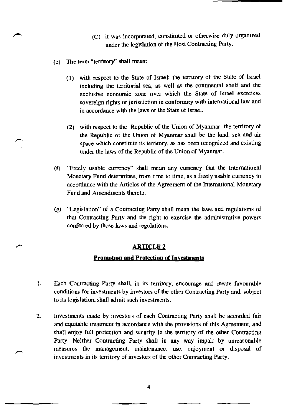- (C) it was incorporated, constituted or otherwise duly organized under the legislation of the Host Contracting Party.
- (e) The term "territory" shall mean:
	- (1) with respect to the State of Israel: the territory of the State of Israel including the territorial sea, as well as the continental shelf and the **exclusive economic zone over which the State of Israel exercises sovereign rights or jurisdiction in conformity with** international law **and**  in accordance with the laws of the State of Israel.
	- (2) with respect to the Republic of the Union of Myanmar: the territory of the Republic of the Union of Myanmar shall be the land, sea and air **space which constitute its territory, as has been recognized and existing**  under the laws of the Republic of the Union of Myanmar.
- (f) "Freely usable currency" shall mean any currency that the International **Monetary Fund determines, from time to time. as a freely usable currency in**  accordance with the Articles of the Agreement of the International Monetary Fund and Amendments thereto.
- (g) "Legislation" of a Contracting Party shall mean the laws and regulations of **that Contracting Party and the right to exercise the administrati ve powers conferred by those laws and regulations.**

#### ARTICLE 2

#### **Promotion and Protection of Investments**

- **1. Each Contracting Party shall, in its territory, encourage and create favourable conditions for investments by investors of the other Contracting Party and, subject to its legislation, shall admit such investments.**
- **2. Investments made by investors of each Contracting Party shall be accorded fair and equitable treatment in accordance with the provisions of this Agreement, and**  shall enjoy full protection and security in the territory of the other Contracting Party. Neither Contracting Party shall in any way impair by unreasonable **measures the management, maintenance, use, enjoyment or disposal of investments in its territory of investors of the other Contracting Party.**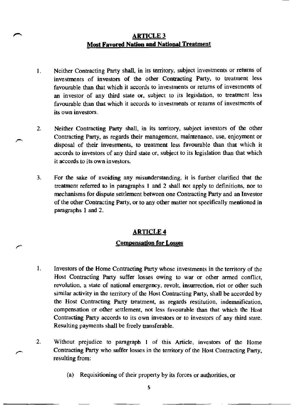## ARTICLE 3 Most Favored Nation and National Treatment

- I. Neither Contracting Party shaH, in its territory, subject investments or returns of investments of investors of the other Contracting Party, to treatment less favourable than that which it accords to investments or returns of investments of an investor of any third state or, subject to its legislation, to treatment less favourable than that which it accords to investments or returns of investments of its own investors.
- 2. Neither Contracting Party shall, in its territory, subject investors of the other Contracting Party. as regards their management, maintenance, use, enjoyment or disposal of their investments, to treatment less favourable than that which it accords to investors of any third state or, subject to its legislation than that which it accords to its own investors.
- 3. For the sake of avoiding any misunderstanding, it is further clarified that the treatment referred to in paragraphs I and 2 sball not apply to definitions, nor to mechanisms for dispute settlement between one Contracting Party and an Investor of the other Contracting Party, or to any other matter not specifically mentioned in paragraphs I and 2.

## ARTICLE 4

#### Compensation for Losses

- I. Investors of the Home Contracting Party whose investments in the territory of the Host Contracting Party suffer losses owing to war or other armed conflict, revolution, a state of national emergency, revolt. insurrection. riot or other such similar activity in the territory of the Host Contracting Party, shall be accorded by the Host Contracting Party treatment. as regards restitution. indemnification. compensation or other settlement. not less favourable than that which the Host Contracting Party accords to its own investors or to investors of any third state. Resulting payments shall be freely transferable.
- 2. Without prejudice to paragraph I of this Article, investors of the Home Contracting Party who suffer losses in the territory of the Host Contracting Party, resulting from:
	- (a) Requisitioning of their property by its forces or authorities, or

5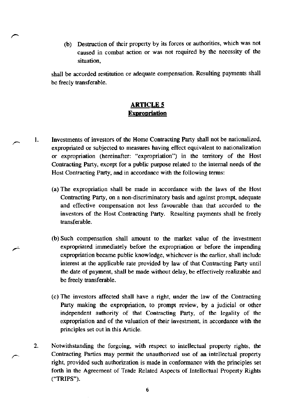(b) Destruction of their property by its forces or authorities, which was not **caused in combat action or was not required by the necessity of the situation,** 

shall be accorded restitution or adequate compensation. Resulting payments shall be freely transferable.

## **ARTICLES Expropriation**

- 1. Investments of investors of the Home Contracting Party shall not be nationalized, **expropriated or subjected to measures having effect equivalent to nationalization or expropriation (hereinafter: "expropriation") in the territory of the Host**  Contracting Party, except for a public purpose related to the internal needs of the **Host Contracting Party, and in accordance with the following terms:** 
	- (a) The expropriation shall be made in accordance with the laws of the Host **Contracting Party, on a non-discriminatory basis and against prompt, adequate**  and effective compensation not less favourable than that accorded to the investors of the Host Contracting Party. Resulting payments shall be freely transferable.
	- (b) Such compensation shall amount to the market value of the investment **expropriated immediately before the expropriation or before the impending expropriation became public knowledge, whichever is the earlier, shall include**  interest at the applicable rate provided by law of that Contracting Party until the date of payment, shall be made without delay, be effectively realizable and be freely transferable.
	- (c) The investors affected shall have a right, under the law of the Contracting Party making the expropriation, to prompt review, by a judicial or other independent authority of that Contracting Party, of the legality of the **expropriation and of the valuation of their investment, in accordance with the principles set out in this Article.**
	- 2. Notwithstanding the forgoing, with respect to intellectual property rights, the **Contracting Parties may permit the unauthorized use of an intellectual property**  right, provided such authorization is made in conformance with the principles set forth in the Agreement of Trade Related Aspects of Intellectual Property Rights ("TRIPS").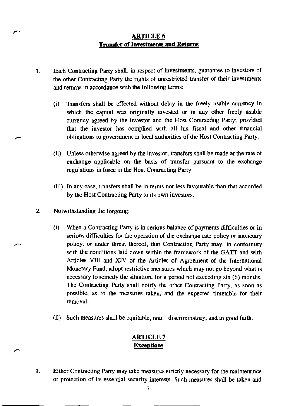## ARTICLE 6 **Transfer of Investments and Returns**

- 1. Each Contracting Party shall, in respect of investments, guarantee to investors of the other Contracting Party the rights of unrestricted transfer of their investments and returns in accordance with the following terms:
	- (i) Transfers shall be effected without delay in the freely usable currency in which the capital was originally invested or in any other freely usable currency agreed by the investor and the Host Contracting Party; provided that the investor has complied with all his fiscal and other financial obligations to government or local authorities of the Host Contracting Party.
	- (ii) Unless otherwise agreed by the investor, transfers shall be made at the rate of **exchange applicable on the basis of transfer pursuant to the exchange**  regulations in force in the Host Contracting Party.
	- (iii) In any case, transfers shall be in terms not less favourable than that accorded **by the Host Contracting Party to its own investors.**
- 2. Notwithstanding the forgoing:
	- **(i) When a Contracting Party is in serious balance of payments difficulties or in serious difficulties for the operation of the exchange rate policy or monetary**  policy, or under threat thereof, that Contracting Party may, in confonnity with the conditions laid down within the framework of the GATT and with Articles VIII and XIV of the Articles of Agreement of the International **Monetary Fund, adopt restrictive measures which may not go beyond what is necessary to remedy the situation, for a period not exceeding six (6) months.**  The Contracting Party shall notify the other Contracting Party, as soon as **possible, as to the measures taken. and the expected timetable for their removal.**
	- **(ii) Such measures shall be equitable, non - discriminatory, and in good faith.**

#### ARTICLE 7 **Exceptions**

**1. Either Contracting Party may take measures strictly necessary for the maintenance or protection of its essential security interests. Such measures shall be taken and**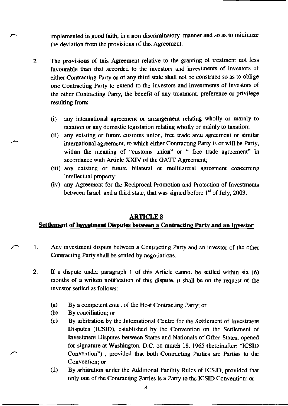**implemented in good faith, in a non-discriminatory manner and so as to minimize the deviation from the provisions of this Agreement.** 

- 2. The provisions of this Agreement relative to the granting of treatment not less **favourable than that accorded to the investors and investments of investors of**  either Contracting Party or of any third state shall not be construed so as to oblige **one Contracting Party to extend to the investors and investments of investors of**  the other Contracting Party, the benefit of any treatment, preference or privilege resulting from:
	- (i) any international agreement or arrangement relating wholly or mainly to taxation or any domestic legislation relating wholly or mainly to taxation;
	- **(ii) any existing or future customs union, free trade area agreement or similar**  international agreement, to which either Contracting Party is or will be Party, within the meaning of "customs union" or " free trade agreement" in accordance with Article XXIV of the GATT Agreement;
	- **(iii) any existing or future bilateral or multilateral agreement concerning**  intellectual property;
	- **(iv) any Agreement for the Reciprocal Promotion and Protection of Investments**  between Israel and a third state, that was signed before  $1<sup>st</sup>$  of July, 2003.

#### **ARTICLES**

#### **Settlement of Investment Disputes between a Contracting Party and an Investor**

- **1. Any investment dispute between a Contracting Party and an investor of the other**  Contracting Party shall be settled by negotiations.
- 2. If a dispute under paragraph 1 of this Article cannot be settled within six (6) **months of a written notification of this dispute, it shall be on the request of the investor settled as follows:** 
	- (a) By a competent court of the Host Contracting Party; or
	- (b) By conciliation; or
	- (c) By arbitration by the International Centre for the Settlement of Investment Disputes (ICSID), established by the Convention on the Settlement of Investment Disputes between States and Nationals of Other States, opened for signature at Washington, D.C. on march 18, 1965 (hereinafter: "ICSID **Convention") , provided that both Contracting Parties are Parties to the Convention; or**
	- (d) By arbitration under the Additional Facility Rules of ICSID, provided that only one of the Contracting Parties is a Party to the ICSID Convention; or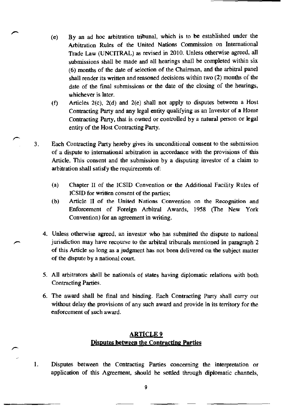- (e) By an ad hoc arbitration tribunal, which is to be established under the **Arbitration Rules of the United Nations Commission on International**  Trade Law (UNCITRAL) as revised in 2010. Unless otherwise agreed, all submissions shall be made and all hearings shall be completed within six (6) months of the date of selection of the Chairman, and the arbitral panel shall render its written and reasoned decisions within two (2) months of the date of the final submissions or the date of the closing of the hearings, **whichever is later.**
- (f) Articles  $2(c)$ ,  $2(d)$  and  $2(e)$  shall not apply to disputes between a Host Contracting Party and any legal entity qualifying as an Investor of a Home Contracting Party, that is owned or controlled by a natural person or legal entity of the Host Contracting Party.
- 3. Each Contracting Party hereby gives its unconditional consent to the submission **of a dispute to international arbitration in accordance with the provisions of this Article. This consent and the submission by a disputing investor of a claim to**  arbitration shall satisfy the requirements of:
	- (a) Chapter II of the ICSlD Convention or the Additional Facility Rules of ICSlD for written consent of the parties;
	- **(b) Article II of the United Nations Convention on the Recognition and**  Enforcement of Foreign Arbitral Awards, 1958 (The New York **Convention) for an agreement in writing.**
	- **4. Unless otherwise agreed, an investor who has submitted the dispute to national jurisdiction may have recourse to the arbitral tribunals mentioned in paragraph 2**  of this Article so long as a judgment has not been delivered on the subject matter of the dispute by a national court.
	- 5. All arbitrators shall be nationals of states having diplomatic relations with both Contracting Parties.
	- 6. The award shall be final and binding. Each Contracting Party shall carry out **without delay the provisions of any such award and provide in its territory for the enforcement of such award.**

## ARTICLE 9 **Disputes between the Contracting Parties**

**1. Disputes between the Contracting Parties concerning the interpretation or**  application of this Agreement, should be settled through diplomatic channels,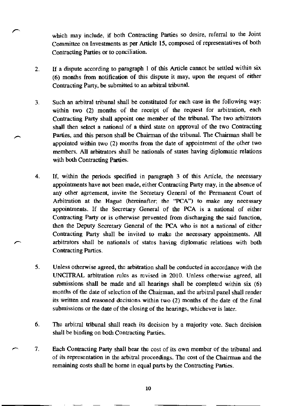which may include, if both Contracting Panies so desire, referral to the Joint Committee on Investments as per Article 15, composed of representatives of both **Contracting Parties or to conciliation.** 

- 2. If a dispute according to paragraph I of this Article cannot be settled within six (6) months from notification of this dispute it may, upon the request of either Contracting Pany, be submitted to an arbitral tribunal.
- 3. Such an arbitral tribunal shall be constituted for each case in the following way: within two (2) months of the receipt of the request for arbitration, each Contracting pany shall appoint one member of the tribunal. The two arbitrators shall then select a national of a third state on approval of the two Contracting Parties, and this person shall be Chairman of the tribunal. The Chairman shall be appointed within two (2) months from the date of appointment of the other two members. All arbitrators shall be nationals of states having diplomatic relations with both Contracting Parties.
- 4. If, within the periods specified in paragraph 3 of this Article, the necessary **appointments have not been made. either Contracting Party may, in the absence of any other agreement, invite the Secretary General of the Permanent Court of**  Arbitration at the Hague (hereinafter; the "PCA") to make any necessary appointments. If the Secretary General of the PCA is a national of either **Contracting Party or is otherwise prevented from discharging the said function,**  then the Deputy Secretary General of the PCA who is not a national of either Contracting Pany shall be invited to make the necessary appointments. All arbitrators shall be nationals of states having diplomatic relations with both **Contracting Parties.**
- **5. Unless otherwise agreed, the arbitration shall be conducted in accordance with the**  UNCITRAL arbitration rules as revised in 2010. Unless otherwise agreed, all submissions shall be made and all hearings shall be completed within six (6) months of the date of selection of the Chairman, and the arbitral panel shall render **its written and reasoned decisions. within two (2) months of the date of the fmal submissions or the date of the closing of the hearings, whichever is later.**
- 6. The arbitral tribunal shall reach its decision by a majority vote. Such decision shall be binding on both Contracting Parties.
- 7. Each Contracting pany shall bear the cost of its own member of the tribunal and **of its representation in the arbitral proceedings. The cost of the Chairman and the**  remaining costs shall be borne in equal pans by the Contracting Parties.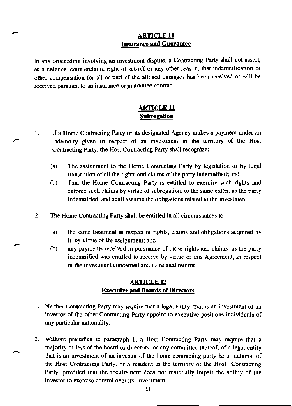## ARTICLE 10 Insurance and Guarantee

In any proceeding involving an investment dispute, a Contracting party shall not assert, as a defence, counterclaim, right of set-off or any other reason, that indemnification or other compensation for all or part of the alleged damages has been received or will be received pursuant to an insurance or guarantee contract.

## ARTICLE 11 **Subrogation**

- I, If a Home Contracting Party or its designated Agency makes a payment under an indemnity given in respect of an investment in the territory of the Host Contracting Party, the Host Contracting Party shall recognize:
	- (a) The assignment to the Home Contracting Party by legislation or by legal transaction of all the rights and claims of the party indemnified; and
	- (b) That the Home Contracting Party is entitled to exercise such rights and enforce such claims by virtue of subrogation, to the same extent as the party indemnified, and shall assume the obligations related to the investment
- 2, The Home Contracting Party shall be entitled in all circumstances to:
	- (a) the same treatment in respect of rights, claims and obligations acquired by it, by virtue of the assignment; and
	- (b) any payments received in pursuance of those rights and claims, as the party indemnified was entitled to receive by virtue of this Agreement, in respect of the investment concerned and its related returns.

## ARTICLE 12 Executive and Boards of Directors

- 1. Neither Contracting Party may require that a legal entity that is an investment of an investor of the other Contracting Party appoint to executive positions individuals of any particular nationality,
- 2. Without prejudice to paragraph 1, a Host Contracting Party may require that a majority or less of the board of directors, or any committee thereof, of a legal entity that is an investment of an investor of the home contracting party be a national of the Host Contracting Party, or a resident in the territory of the Host Contracting Party, provided that the requirement does not materially impair the ability of the investor to exercise control over its investment.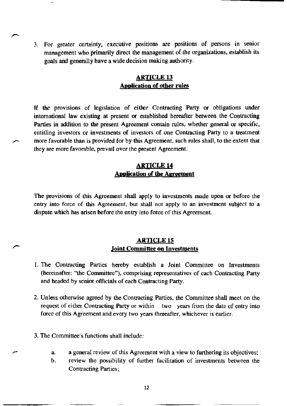3. For greater certainty, executive positions are positions of persons in senior management who primarily direct the management of the organizations, establish its goals and generally have a wide decision making authority.

#### ARTICLE 13 Application of other rules

If the provisions of legislation of either Contracting Party or obligations under international law existing at present or established hereafter between the Contracting Parties in addition to the present Agreement contain rules, whether general or specific, entitling investors or investments of investors of one Contracting Party to a treatment more favorable than is provided for by this Agreement, such rules shall, to the extent that they are more favorable, prevail over the present Agreement.

## ARTICLE 14 Application of the Agreement

The provisions of this Agreement shall apply to investments made upon or before the entry into force of this Agreement, but shall not apply to an investment subject to a dispute which has arisen before the entry into force of this Agreement.

#### ARTICLE 15 Joint Committee on Investments

- 1. The Contracting Parties hereby establish a Joint Committee on Investments (hereinafter: "the Committee"), comprising representatives of each Contracting Party and headed by senior officials of each Contracting Party.
- 2. Unless otherwise agreed by the Contracting Parties, the Committee shall meet on the request of either Contracting Party or within two years from the date of entry into force of this Agreement and every two years thereafter. whichever is earlier.
- 3. The Committee's functions shall include:
	- a. a general review of this Agreement with a view to furthering its objectives;
	- b. review the possibility of further facilitation of investments between the Contracting Parties;